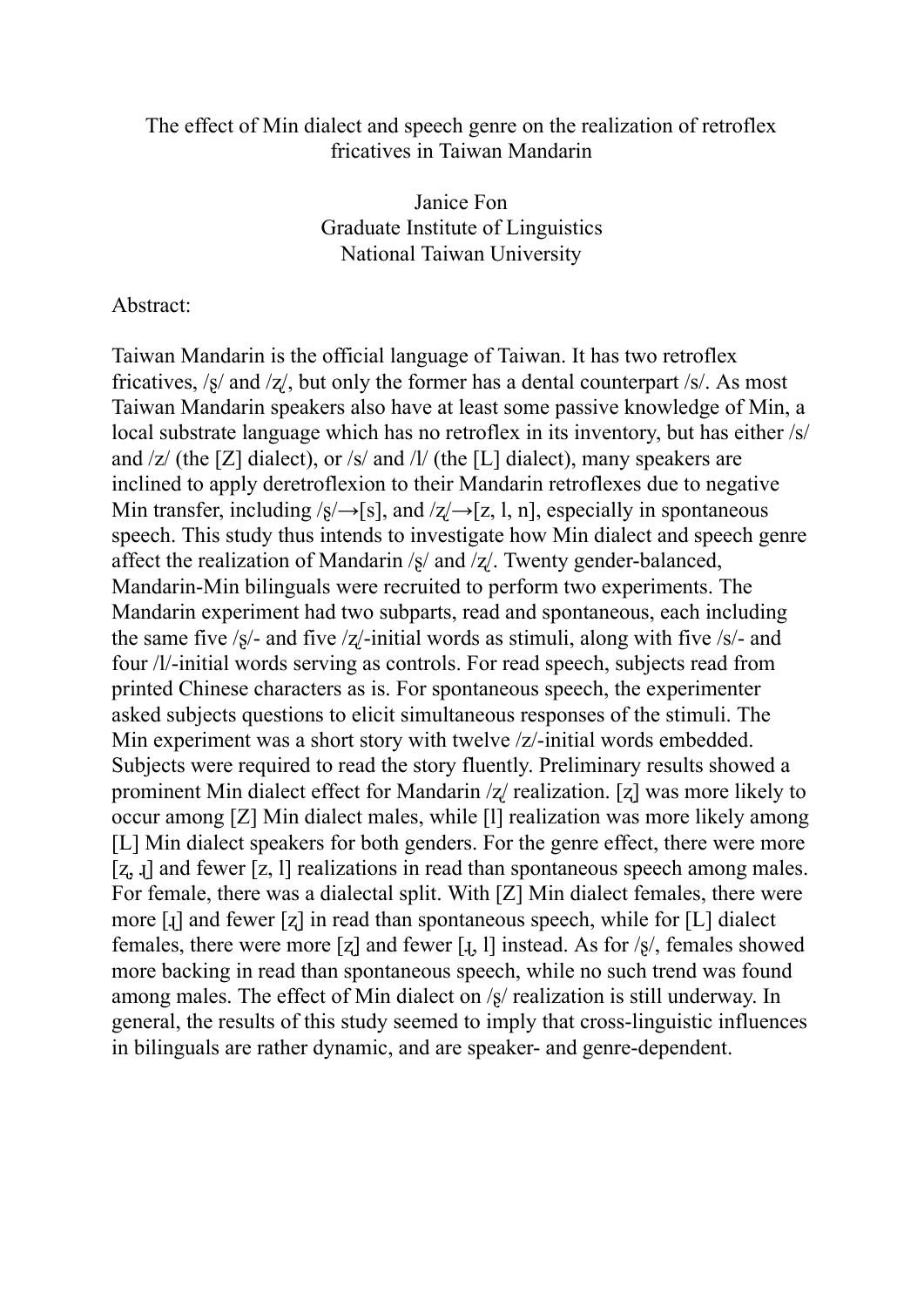## The effect of Min dialect and speech genre on the realization of retroflex fricatives in Taiwan Mandarin

Janice Fon Graduate Institute of Linguistics National Taiwan University

## Abstract:

Taiwan Mandarin is the official language of Taiwan. It has two retroflex fricatives, /ʂ/ and /ʐ/, but only the former has a dental counterpart /s/. As most Taiwan Mandarin speakers also have at least some passive knowledge of Min, a local substrate language which has no retroflex in its inventory, but has either /s/ and  $\ell z$  (the [Z] dialect), or /s/ and /l/ (the [L] dialect), many speakers are inclined to apply deretroflexion to their Mandarin retroflexes due to negative Min transfer, including  $\sqrt{s}/\rightarrow$ [s], and  $\sqrt{z}/\rightarrow$ [z, l, n], especially in spontaneous speech. This study thus intends to investigate how Min dialect and speech genre affect the realization of Mandarin  $\frac{s}{a}$  and  $\frac{z}{a}$ . Twenty gender-balanced, Mandarin-Min bilinguals were recruited to perform two experiments. The Mandarin experiment had two subparts, read and spontaneous, each including the same five  $\frac{s}{-}$  and five  $\frac{z}{-}$ initial words as stimuli, along with five  $\frac{s}{-}$  and four /l/-initial words serving as controls. For read speech, subjects read from printed Chinese characters as is. For spontaneous speech, the experimenter asked subjects questions to elicit simultaneous responses of the stimuli. The Min experiment was a short story with twelve /z/-initial words embedded. Subjects were required to read the story fluently. Preliminary results showed a prominent Min dialect effect for Mandarin /ʐ/ realization. [ʐ] was more likely to occur among [Z] Min dialect males, while [l] realization was more likely among [L] Min dialect speakers for both genders. For the genre effect, there were more [z, i] and fewer [z, l] realizations in read than spontaneous speech among males. For female, there was a dialectal split. With [Z] Min dialect females, there were more [ɻ] and fewer [ʐ] in read than spontaneous speech, while for [L] dialect females, there were more [z] and fewer [ $\mathbf{I}$ , 1] instead. As for  $\mathbf{s}/\mathbf{s}$ , females showed more backing in read than spontaneous speech, while no such trend was found among males. The effect of Min dialect on /ʂ/ realization is still underway. In general, the results of this study seemed to imply that cross-linguistic influences in bilinguals are rather dynamic, and are speaker- and genre-dependent.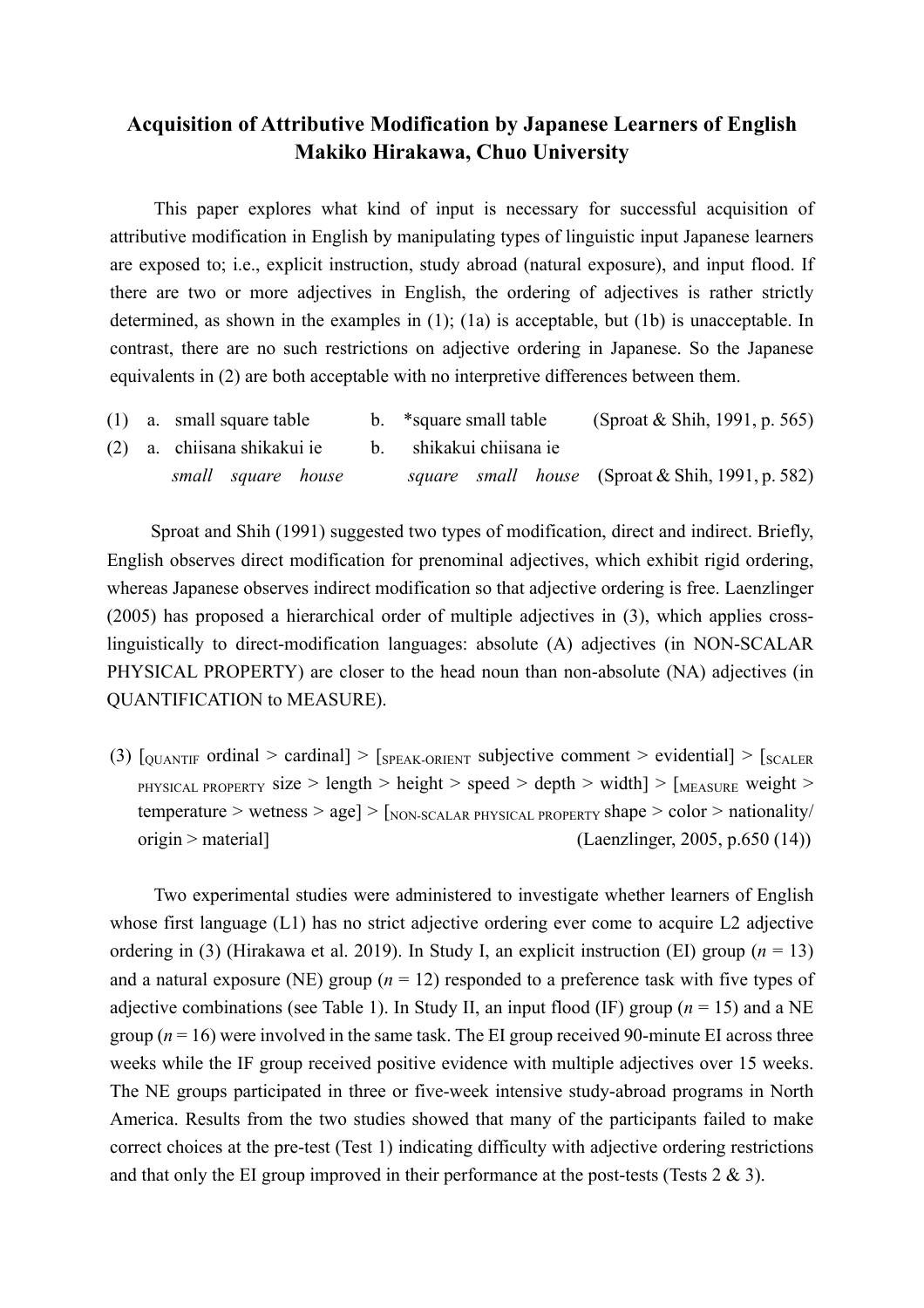# **Acquisition of Attributive Modification by Japanese Learners of English Makiko Hirakawa, Chuo University**

This paper explores what kind of input is necessary for successful acquisition of attributive modification in English by manipulating types of linguistic input Japanese learners are exposed to; i.e., explicit instruction, study abroad (natural exposure), and input flood. If there are two or more adjectives in English, the ordering of adjectives is rather strictly determined, as shown in the examples in (1); (1a) is acceptable, but (1b) is unacceptable. In contrast, there are no such restrictions on adjective ordering in Japanese. So the Japanese equivalents in (2) are both acceptable with no interpretive differences between them.

|  | $(1)$ a. small square table | b. *square small table  | (Sproat & Shih, 1991, p. 565)                    |
|--|-----------------------------|-------------------------|--------------------------------------------------|
|  | (2) a. chiisana shikakui ie | b. shikakui chiisana ie |                                                  |
|  | small square house          |                         | square small house (Sproat & Shih, 1991, p. 582) |

Sproat and Shih (1991) suggested two types of modification, direct and indirect. Briefly, English observes direct modification for prenominal adjectives, which exhibit rigid ordering, whereas Japanese observes indirect modification so that adjective ordering is free. Laenzlinger (2005) has proposed a hierarchical order of multiple adjectives in (3), which applies crosslinguistically to direct-modification languages: absolute (A) adjectives (in NON-SCALAR PHYSICAL PROPERTY) are closer to the head noun than non-absolute (NA) adjectives (in QUANTIFICATION to MEASURE).

(3)  $\lceil_{\text{OUANTIF}}$  ordinal > cardinal >  $\lceil_{\text{SPEAK-ORIENT}}$  subjective comment > evidential >  $\lceil_{\text{SCALER}}$ PHYSICAL PROPERTY size > length > height > speed > depth > width | >  $\lceil_{MEASURE}$  weight > temperature > wetness > age] >  $\lceil_{\text{NON-SCALAR PHYSICAL PROPERTY}}$  shape > color > nationality/  $origin > material$  (Laenzlinger, 2005, p.650 (14))

Two experimental studies were administered to investigate whether learners of English whose first language (L1) has no strict adjective ordering ever come to acquire L2 adjective ordering in (3) (Hirakawa et al. 2019). In Study I, an explicit instruction (EI) group (*n* = 13) and a natural exposure (NE) group  $(n = 12)$  responded to a preference task with five types of adjective combinations (see Table 1). In Study II, an input flood (IF) group ( $n = 15$ ) and a NE group  $(n = 16)$  were involved in the same task. The EI group received 90-minute EI across three weeks while the IF group received positive evidence with multiple adjectives over 15 weeks. The NE groups participated in three or five-week intensive study-abroad programs in North America. Results from the two studies showed that many of the participants failed to make correct choices at the pre-test (Test 1) indicating difficulty with adjective ordering restrictions and that only the EI group improved in their performance at the post-tests (Tests  $2 \& 3$ ).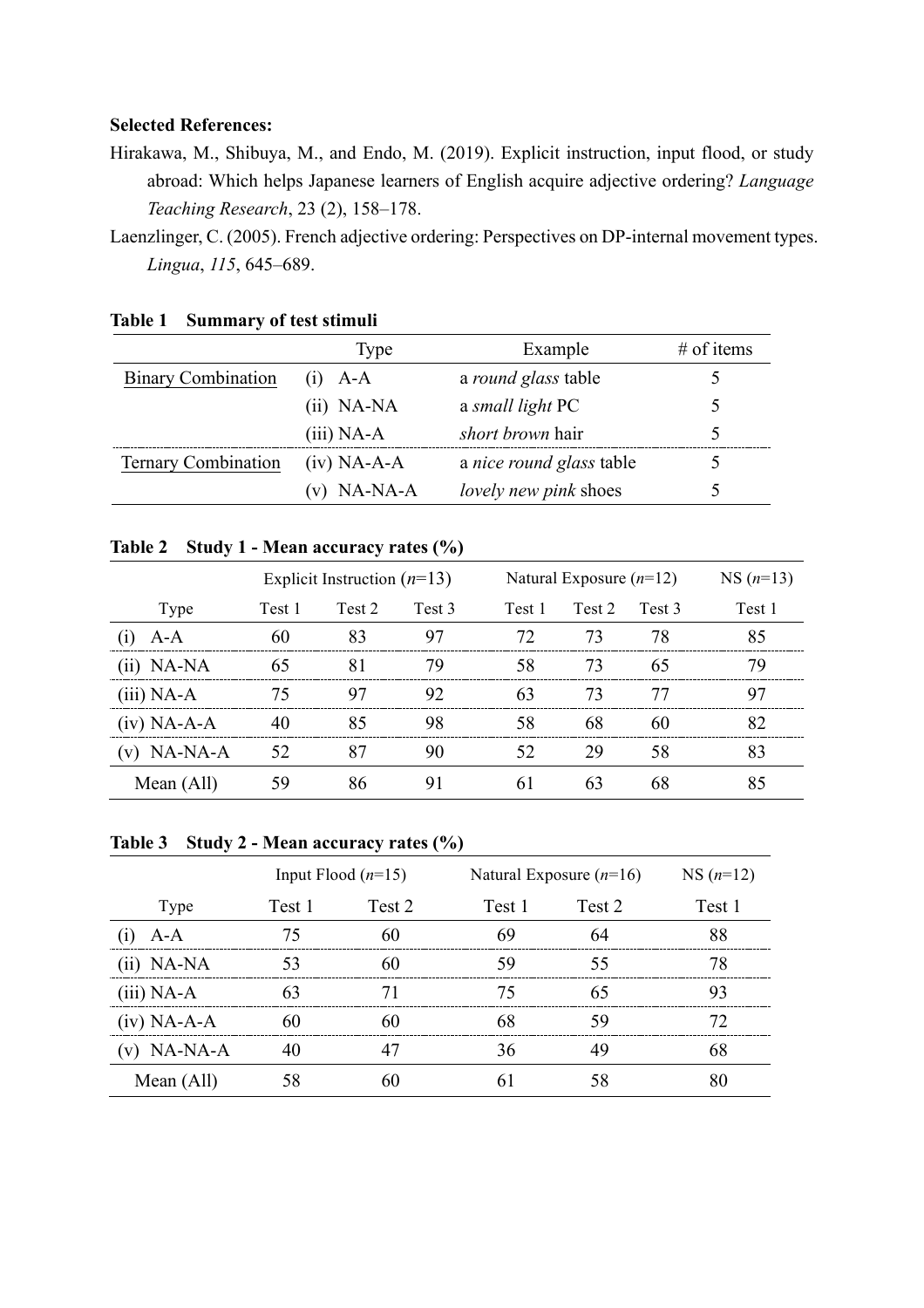### **Selected References:**

- Hirakawa, M., Shibuya, M., and Endo, M. (2019). Explicit instruction, input flood, or study abroad: Which helps Japanese learners of English acquire adjective ordering? *Language Teaching Research*, 23 (2), 158–178.
- Laenzlinger, C. (2005). French adjective ordering: Perspectives on DP-internal movement types. *Lingua*, *115*, 645–689.

|                            | Type          | Example                      | # of items |
|----------------------------|---------------|------------------------------|------------|
| <b>Binary Combination</b>  | $(i)$ A-A     | a round glass table          |            |
|                            | $(ii)$ NA-NA  | a small light PC             |            |
|                            | $(iii)$ NA-A  | <i>short brown</i> hair      | 5          |
| <b>Ternary Combination</b> | $(iv)$ NA-A-A | a nice round glass table     |            |
|                            | NA-NA-A       | <i>lovely new pink shoes</i> | Ć          |

#### **Table 1 Summary of test stimuli**

## **Table 2 Study 1 - Mean accuracy rates (%)**

|               |        | Explicit Instruction $(n=13)$ |                   |        | Natural Exposure $(n=12)$ |        |        |
|---------------|--------|-------------------------------|-------------------|--------|---------------------------|--------|--------|
| Type          | Test 1 | Test 2                        | Test <sub>3</sub> | Test 1 | Test 2                    | Test 3 | Test 1 |
| A-A           | 60     | 83                            | 97                | 72.    | 73                        | 78     | 85     |
| $(ii)$ NA-NA  | 65     | 81                            | 79                | 58     | 73                        | 65     | 79     |
| $(iii)$ NA-A  | 75     | 97                            | 92                | 63     | 73                        | 77     | 97     |
| $(iv)$ NA-A-A | 40     | 85                            | 98                | 58     | 68                        | 60     | 82     |
| $(v)$ NA-NA-A | 52     | 87                            | 90                | 52     | 29                        | 58     | 83     |
| Mean (All)    | 59     | 86                            | 91                | 61     | 63                        | 68     | 85     |

## **Table 3 Study 2 - Mean accuracy rates (%)**

|               |        | Input Flood $(n=15)$ | Natural Exposure $(n=16)$ | $NS(n=12)$ |          |
|---------------|--------|----------------------|---------------------------|------------|----------|
| Type          | Test 1 | Test 2               | Test 1                    | Test 2     | Test 1   |
| $A-A$         | 75     | 60                   | 69                        | 64         | 88       |
| $(ii)$ NA-NA  | 53     | 60                   | 59                        | 55         | 78       |
| $(iii)$ NA-A  |        |                      | 75                        |            | 93       |
| $(iv)$ NA-A-A | 60     | 60                   | 68                        | 59         | $\gamma$ |
| $(v)$ NA-NA-A | 40     |                      | 36                        | 49         | 68       |
| Mean (All)    | 58     | 60                   | 61                        |            | 80       |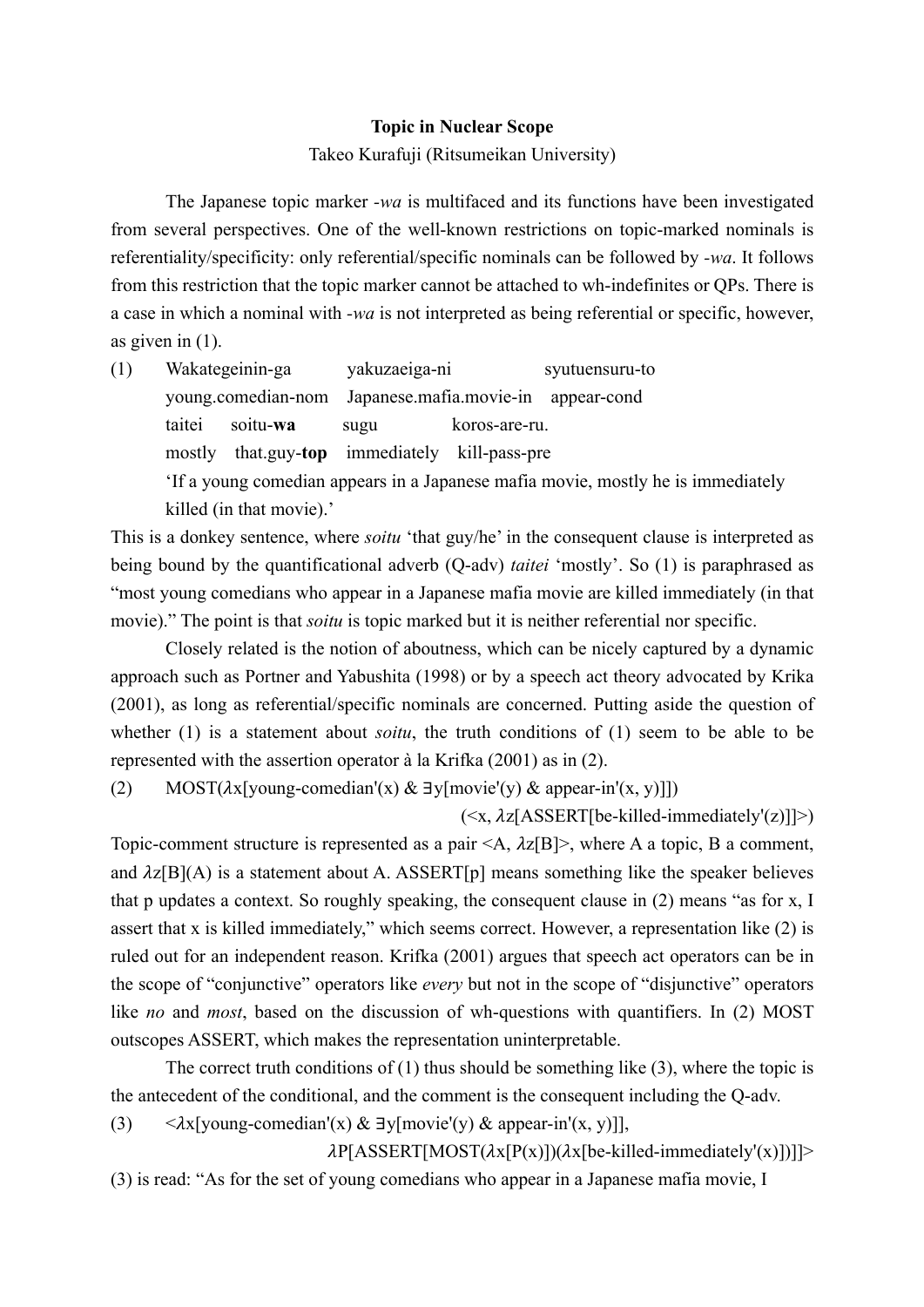#### **Topic in Nuclear Scope**

Takeo Kurafuji (Ritsumeikan University)

The Japanese topic marker *-wa* is multifaced and its functions have been investigated from several perspectives. One of the well-known restrictions on topic-marked nominals is referentiality/specificity: only referential/specific nominals can be followed by *-wa*. It follows from this restriction that the topic marker cannot be attached to wh-indefinites or QPs. There is a case in which a nominal with *-wa* is not interpreted as being referential or specific, however, as given in (1).

(1) Wakategeinin-ga yakuzaeiga-ni syutuensuru-to young.comedian-nom Japanese.mafia.movie-in appear-cond taitei soitu-**wa** sugu koros-are-ru. mostly that.guy-**top** immediately kill-pass-pre 'If a young comedian appears in a Japanese mafia movie, mostly he is immediately killed (in that movie).'

This is a donkey sentence, where *soitu* 'that guy/he' in the consequent clause is interpreted as being bound by the quantificational adverb (Q-adv) *taitei* 'mostly'. So (1) is paraphrased as "most young comedians who appear in a Japanese mafia movie are killed immediately (in that movie)." The point is that *soitu* is topic marked but it is neither referential nor specific.

Closely related is the notion of aboutness, which can be nicely captured by a dynamic approach such as Portner and Yabushita (1998) or by a speech act theory advocated by Krika (2001), as long as referential/specific nominals are concerned. Putting aside the question of whether (1) is a statement about *soitu*, the truth conditions of (1) seem to be able to be represented with the assertion operator à la Krifka (2001) as in (2).

(2) MOST( $\lambda$ x[young-comedian'(x) & ∃y[movie'(y) & appear-in'(x, y)]])

 $(\langle x, \lambda z \vert \text{ASSERT} \vert \text{be-killed-immediately'} \vert z \rangle)$ 

Topic-comment structure is represented as a pair  $\langle A, \lambda z | B \rangle$ , where A a topic, B a comment, and  $\lambda z[B](A)$  is a statement about A. ASSERT[p] means something like the speaker believes that p updates a context. So roughly speaking, the consequent clause in (2) means "as for x, I assert that x is killed immediately," which seems correct. However, a representation like (2) is ruled out for an independent reason. Krifka (2001) argues that speech act operators can be in the scope of "conjunctive" operators like *every* but not in the scope of "disjunctive" operators like *no* and *most*, based on the discussion of wh-questions with quantifiers. In (2) MOST outscopes ASSERT, which makes the representation uninterpretable.

The correct truth conditions of  $(1)$  thus should be something like  $(3)$ , where the topic is the antecedent of the conditional, and the comment is the consequent including the Q-adv.

(3)  $\langle \lambda x[young-condian'(x) \& \exists y[movie'(y) \& appear-in'(x, y)] \rangle$ 

 $\lambda P[ASSERT[MOST(\lambda x[P(x)])(\lambda x[be-killed-immediately'(x)])]]$ (3) is read: "As for the set of young comedians who appear in a Japanese mafia movie, I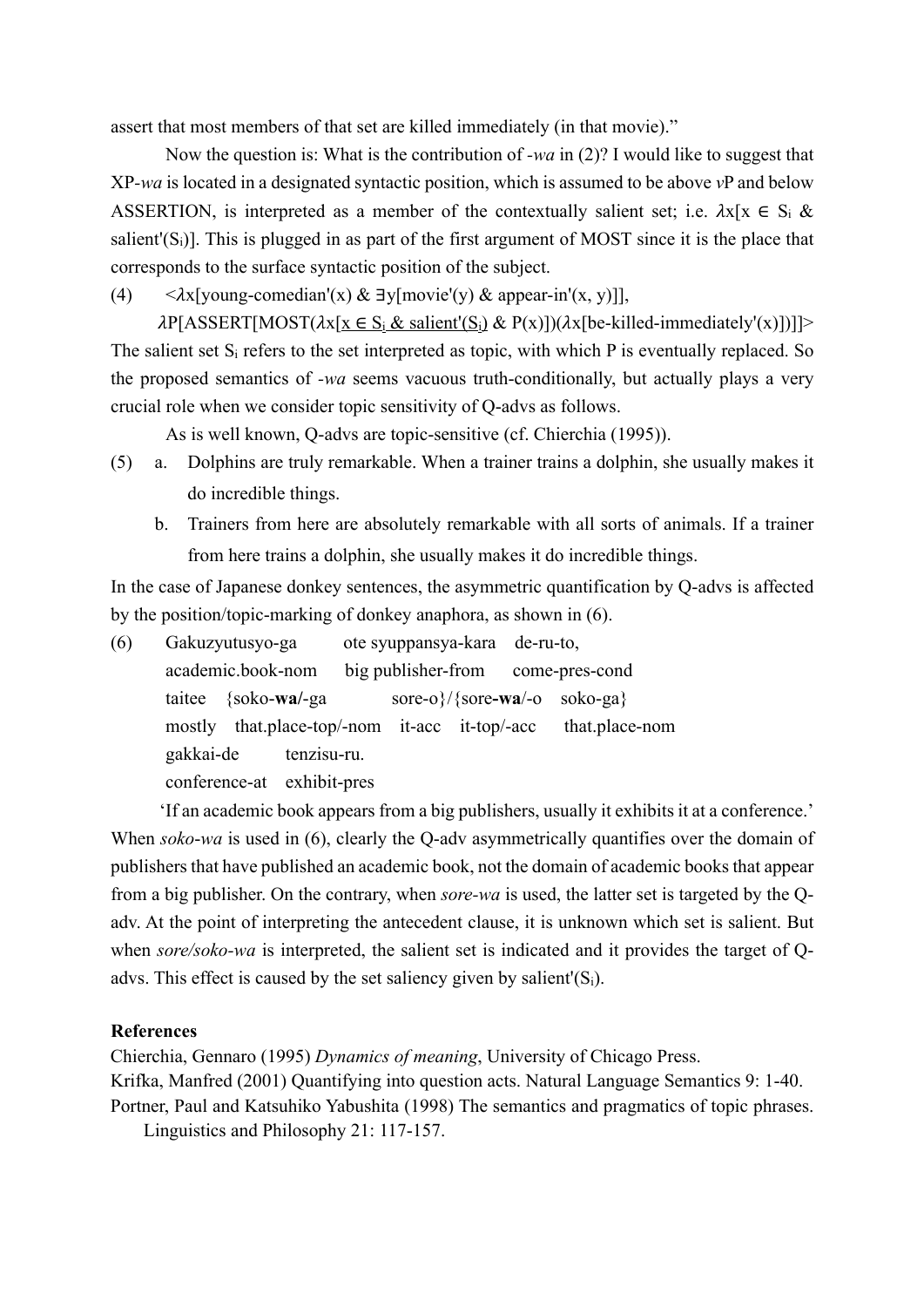assert that most members of that set are killed immediately (in that movie)."

Now the question is: What is the contribution of *-wa* in (2)? I would like to suggest that XP*-wa* is located in a designated syntactic position, which is assumed to be above *v*P and below ASSERTION, is interpreted as a member of the contextually salient set; i.e.  $\lambda x[x \in S_i \&$ salient'( $S_i$ )]. This is plugged in as part of the first argument of MOST since it is the place that corresponds to the surface syntactic position of the subject.

(4)  $\langle \lambda x | \text{young-comedian}(x) \& \exists y | \text{movie}'(y) \& \text{ appear-in}'(x, y) |$ 

 $\lambda P[ASSERT[MOST(\lambda x[x \in S_i \& \text{salient'}(S_i) \& P(x)])(\lambda x[be-killed-immediately'(x)])]$ The salient set  $S_i$  refers to the set interpreted as topic, with which P is eventually replaced. So the proposed semantics of *-wa* seems vacuous truth-conditionally, but actually plays a very crucial role when we consider topic sensitivity of Q-advs as follows.

As is well known, Q-advs are topic-sensitive (cf. Chierchia (1995)).

- (5) a. Dolphins are truly remarkable. When a trainer trains a dolphin, she usually makes it do incredible things.
	- b. Trainers from here are absolutely remarkable with all sorts of animals. If a trainer from here trains a dolphin, she usually makes it do incredible things.

In the case of Japanese donkey sentences, the asymmetric quantification by Q-advs is affected by the position/topic-marking of donkey anaphora, as shown in (6).

(6) Gakuzyutusyo-ga ote syuppansya-kara de-ru-to, academic.book-nom big publisher-from come-pres-cond taitee {soko-**wa/**-ga sore-o}/{sore**-wa**/-o soko-ga} mostly that.place-top/-nom it-acc it-top/-acc that.place-nom gakkai-de tenzisu-ru. conference-at exhibit-pres

'If an academic book appears from a big publishers, usually it exhibits it at a conference.' When *soko*-*wa* is used in (6), clearly the Q-adv asymmetrically quantifies over the domain of publishers that have published an academic book, not the domain of academic books that appear from a big publisher. On the contrary, when *sore-wa* is used, the latter set is targeted by the Qadv. At the point of interpreting the antecedent clause, it is unknown which set is salient. But when *sore/soko-wa* is interpreted, the salient set is indicated and it provides the target of Qadvs. This effect is caused by the set saliency given by salient'( $S_i$ ).

#### **References**

Chierchia, Gennaro (1995) *Dynamics of meaning*, University of Chicago Press. Krifka, Manfred (2001) Quantifying into question acts. Natural Language Semantics 9: 1-40. Portner, Paul and Katsuhiko Yabushita (1998) The semantics and pragmatics of topic phrases.

Linguistics and Philosophy 21: 117-157.